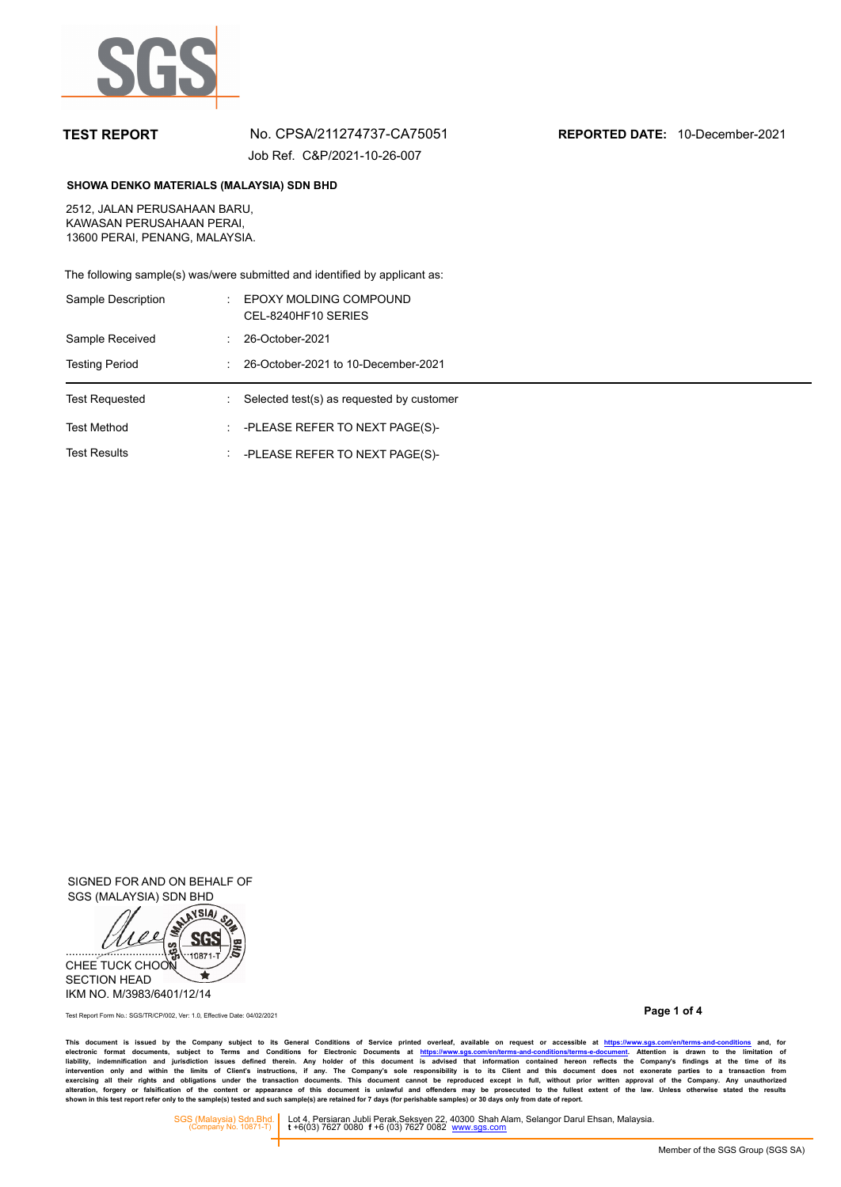

## **TEST REPORT** No. CPSA/211274737-CA75051 **REPORTED DATE:** 10-December-2021 Job Ref. C&P/2021-10-26-007

## **SHOWA DENKO MATERIALS (MALAYSIA) SDN BHD**

2512, JALAN PERUSAHAAN BARU, KAWASAN PERUSAHAAN PERAI, 13600 PERAI, PENANG, MALAYSIA.

The following sample(s) was/were submitted and identified by applicant as:

| Sample Description    |   | EPOXY MOLDING COMPOUND<br>CEL-8240HF10 SERIES |  |  |
|-----------------------|---|-----------------------------------------------|--|--|
| Sample Received       |   | 26-October-2021                               |  |  |
| <b>Testing Period</b> |   | 26-October-2021 to 10-December-2021           |  |  |
| <b>Test Requested</b> | ÷ | Selected test(s) as requested by customer     |  |  |
|                       |   |                                               |  |  |
| <b>Test Method</b>    | ÷ | -PLEASE REFER TO NEXT PAGE(S)-                |  |  |

SIGNED FOR AND ON BEHALF OF SGS (MALAYSIA) SDN BHD



**Page 1 of 4** Test Report Form No.: SGS/TR/CP/002, Ver: 1.0, Effective Date: 04/02/2021

This document is issued by the Company subject to its General Conditions of Service printed overleaf, available on request or accessible at https://www.sg.s.com/en/terms-and-conditions and, for<br>electronic format documents,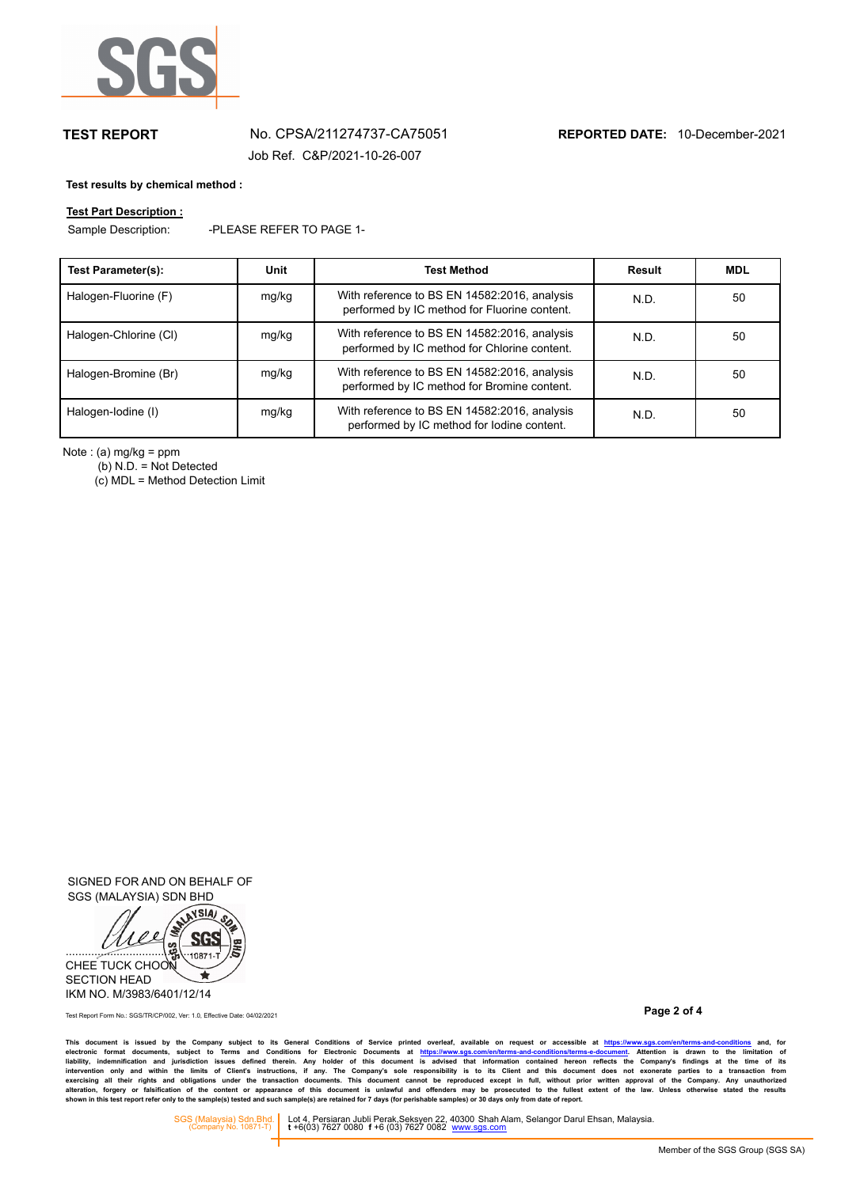

# **TEST REPORT** No. CPSA/211274737-CA75051 **REPORTED DATE:** 10-December-2021

Job Ref. C&P/2021-10-26-007

### **Test results by chemical method :**

## **Test Part Description :**

Sample Description: -PLEASE REFER TO PAGE 1-

| Test Parameter(s):    | Unit  | <b>Test Method</b>                                                                           | Result | <b>MDL</b> |
|-----------------------|-------|----------------------------------------------------------------------------------------------|--------|------------|
| Halogen-Fluorine (F)  | mg/kg | With reference to BS EN 14582:2016, analysis<br>performed by IC method for Fluorine content. | N.D.   | 50         |
| Halogen-Chlorine (CI) | mg/kg | With reference to BS EN 14582:2016, analysis<br>performed by IC method for Chlorine content. | N.D.   | 50         |
| Halogen-Bromine (Br)  | mg/kg | With reference to BS EN 14582:2016, analysis<br>performed by IC method for Bromine content.  | N.D.   | 50         |
| Halogen-Iodine (I)    | mg/kg | With reference to BS EN 14582:2016, analysis<br>performed by IC method for lodine content.   | N.D.   | 50         |

Note : (a) mg/kg = ppm

(b) N.D. = Not Detected

 $(c)$  MDL = Method Detection Limit

SIGNED FOR AND ON BEHALF OF SGS (MALAYSIA) SDN BHD



**Page 2 of 4** Test Report Form No.: SGS/TR/CP/002, Ver: 1.0, Effective Date: 04/02/2021

This document is issued by the Company subject to its General Conditions of Service printed overleaf, available on request or accessible at https://www.sg.s.com/en/terms-and-conditions and, for<br>electronic format documents,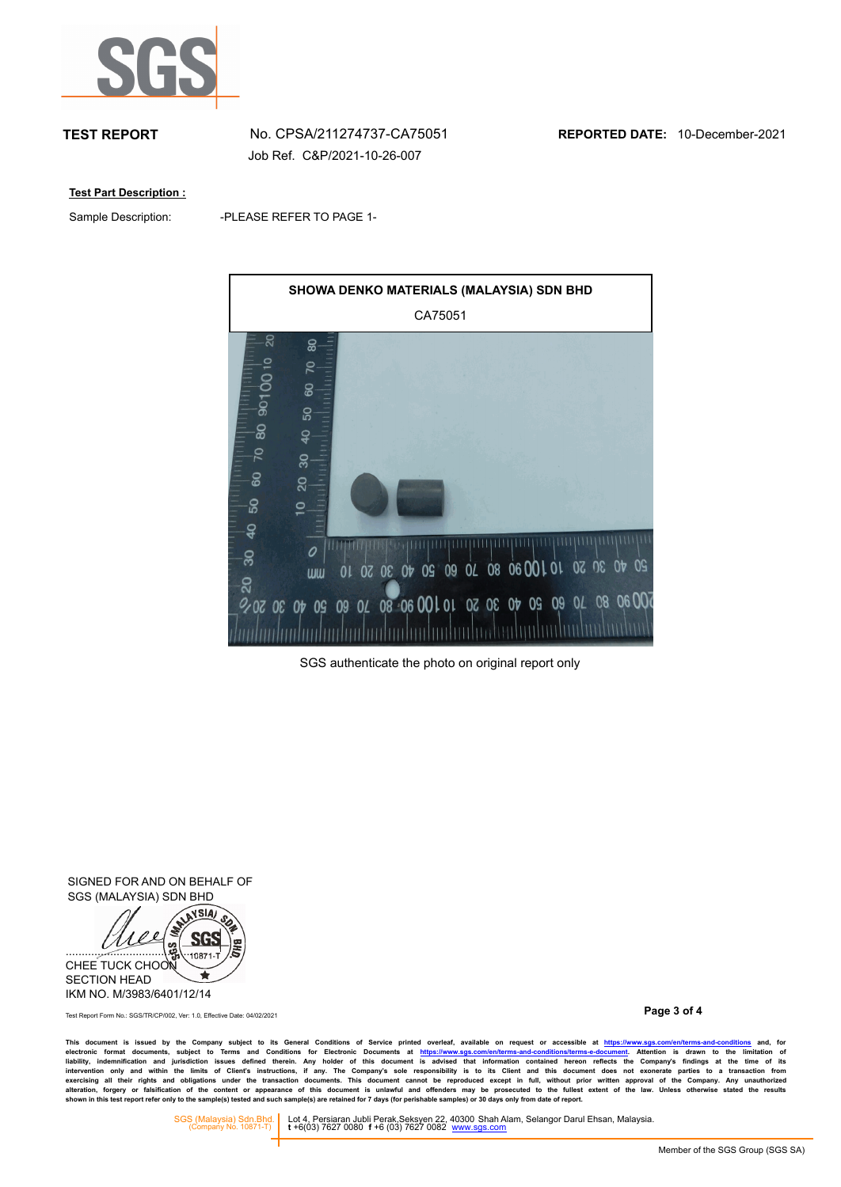

Job Ref. C&P/2021-10-26-007

**Test Part Description :**

Sample Description:

-PLEASE REFER TO PAGE 1-



SGS authenticate the photo on original report only

SIGNED FOR AND ON BEHALF OF SGS (MALAYSIA) SDN BHD



**Page 3 of 4** Test Report Form No.: SGS/TR/CP/002, Ver: 1.0, Effective Date: 04/02/2021

This document is issued by the Company subject to its General Conditions of Service printed overleaf, available on request or accessible at https://www.sg.s.com/en/terms-and-conditions and, for<br>electronic format documents,